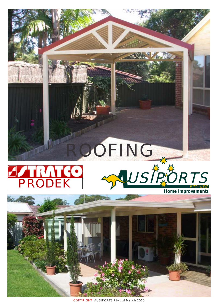# PRODEK ROOFING





COPYRIGHT AUSIPORTS Pty Ltd March 2010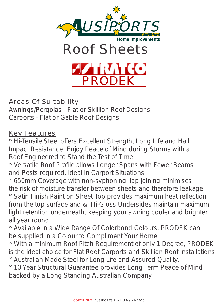





### Areas Of Suitability

Awnings/Pergolas - Flat or Skillion Roof Designs Carports - Flat or Gable Roof Designs

#### Key Features

\* Hi-Tensile Steel offers Excellent Strength, Long Life and Hail Impact Resistance. Enjoy Peace of Mind during Storms with a Roof Engineered to Stand the Test of Time.

\* Versatile Roof Profile allows Longer Spans with Fewer Beams and Posts required. Ideal in Carport Situations.

\* 650mm Coverage with non-syphoning lap joining minimises the risk of moisture transfer between sheets and therefore leakage. \* Satin Finish Paint on Sheet Top provides maximum heat reflection from the top surface and & Hi-Gloss Undersides maintain maximum light retention underneath, keeping your awning cooler and brighter all year round.

\* Available in a Wide Range Of Colorbond Colours, PRODEK can be supplied in a Colour to Compliment Your Home.

\* With a minimum Roof Pitch Requirement of only 1 Degree, PRODEK is the ideal choice for Flat Roof Carports and Skillion Roof Installations. \* Australian Made Steel for Long Life and Assured Quality.

\* 10 Year Structural Guarantee provides Long Term Peace of Mind backed by a Long Standing Australian Company.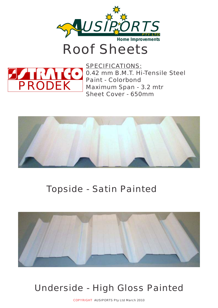

# Roof Sheets



SPECIFICATIONS: 0.42 mm B.M.T. Hi-Tensile Steel Paint - Colorbond Maximum Span - 3.2 mtr Sheet Cover - 650mm



## Topside - Satin Painted



## Underside - High Gloss Painted

COPYRIGHT AUSIPORTS Pty Ltd March 2010